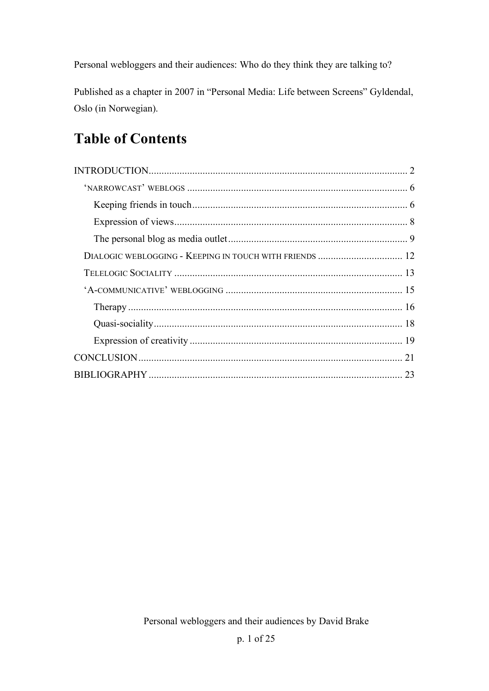Personal webloggers and their audiences: Who do they think they are talking to?

Published as a chapter in 2007 in "Personal Media: Life between Screens" Gyldendal, Oslo (in Norwegian).

# **Table of Contents**

| DIALOGIC WEBLOGGING - KEEPING IN TOUCH WITH FRIENDS  12 |  |
|---------------------------------------------------------|--|
|                                                         |  |
|                                                         |  |
|                                                         |  |
|                                                         |  |
|                                                         |  |
|                                                         |  |
|                                                         |  |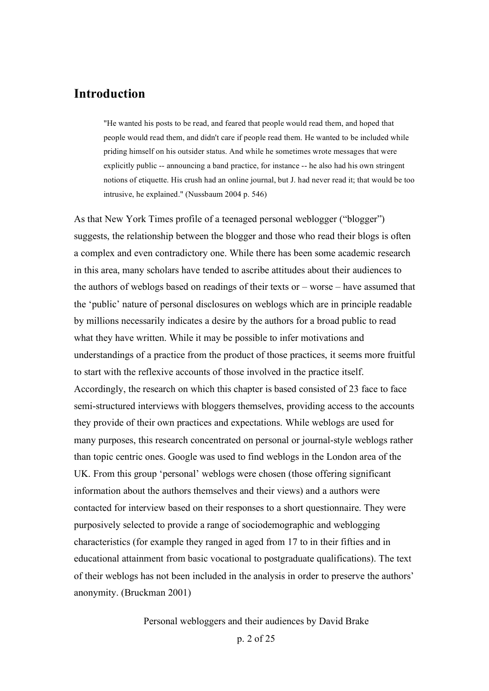### **Introduction**

"He wanted his posts to be read, and feared that people would read them, and hoped that people would read them, and didn't care if people read them. He wanted to be included while priding himself on his outsider status. And while he sometimes wrote messages that were explicitly public -- announcing a band practice, for instance -- he also had his own stringent notions of etiquette. His crush had an online journal, but J. had never read it; that would be too intrusive, he explained." (Nussbaum 2004 p. 546)

As that New York Times profile of a teenaged personal weblogger ("blogger") suggests, the relationship between the blogger and those who read their blogs is often a complex and even contradictory one. While there has been some academic research in this area, many scholars have tended to ascribe attitudes about their audiences to the authors of weblogs based on readings of their texts or – worse – have assumed that the 'public' nature of personal disclosures on weblogs which are in principle readable by millions necessarily indicates a desire by the authors for a broad public to read what they have written. While it may be possible to infer motivations and understandings of a practice from the product of those practices, it seems more fruitful to start with the reflexive accounts of those involved in the practice itself. Accordingly, the research on which this chapter is based consisted of 23 face to face semi-structured interviews with bloggers themselves, providing access to the accounts they provide of their own practices and expectations. While weblogs are used for many purposes, this research concentrated on personal or journal-style weblogs rather than topic centric ones. Google was used to find weblogs in the London area of the UK. From this group 'personal' weblogs were chosen (those offering significant information about the authors themselves and their views) and a authors were contacted for interview based on their responses to a short questionnaire. They were purposively selected to provide a range of sociodemographic and weblogging characteristics (for example they ranged in aged from 17 to in their fifties and in educational attainment from basic vocational to postgraduate qualifications). The text of their weblogs has not been included in the analysis in order to preserve the authors' anonymity. (Bruckman 2001)

Personal webloggers and their audiences by David Brake

p. 2 of 25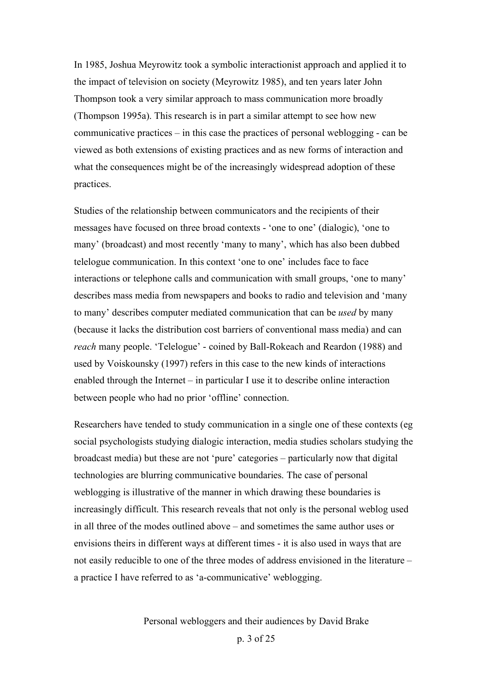In 1985, Joshua Meyrowitz took a symbolic interactionist approach and applied it to the impact of television on society (Meyrowitz 1985), and ten years later John Thompson took a very similar approach to mass communication more broadly (Thompson 1995a). This research is in part a similar attempt to see how new communicative practices – in this case the practices of personal weblogging - can be viewed as both extensions of existing practices and as new forms of interaction and what the consequences might be of the increasingly widespread adoption of these practices.

Studies of the relationship between communicators and the recipients of their messages have focused on three broad contexts - 'one to one' (dialogic), 'one to many' (broadcast) and most recently 'many to many', which has also been dubbed telelogue communication. In this context 'one to one' includes face to face interactions or telephone calls and communication with small groups, 'one to many' describes mass media from newspapers and books to radio and television and 'many to many' describes computer mediated communication that can be *used* by many (because it lacks the distribution cost barriers of conventional mass media) and can *reach* many people. 'Telelogue' - coined by Ball-Rokeach and Reardon (1988) and used by Voiskounsky (1997) refers in this case to the new kinds of interactions enabled through the Internet – in particular I use it to describe online interaction between people who had no prior 'offline' connection.

Researchers have tended to study communication in a single one of these contexts (eg social psychologists studying dialogic interaction, media studies scholars studying the broadcast media) but these are not 'pure' categories – particularly now that digital technologies are blurring communicative boundaries. The case of personal weblogging is illustrative of the manner in which drawing these boundaries is increasingly difficult. This research reveals that not only is the personal weblog used in all three of the modes outlined above – and sometimes the same author uses or envisions theirs in different ways at different times - it is also used in ways that are not easily reducible to one of the three modes of address envisioned in the literature – a practice I have referred to as 'a-communicative' weblogging.

Personal webloggers and their audiences by David Brake

p. 3 of 25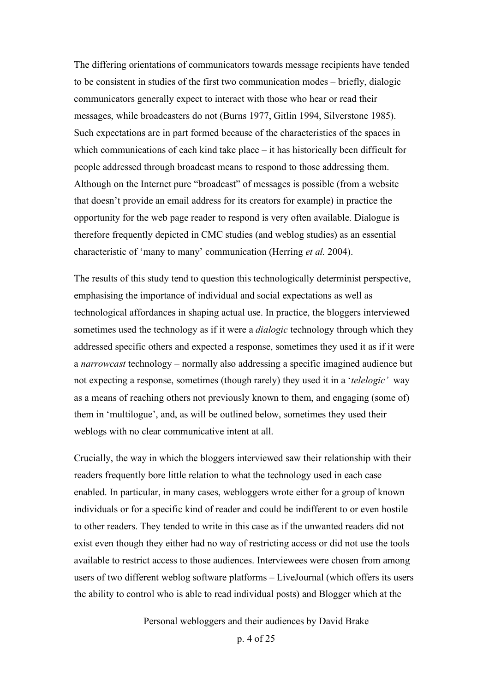The differing orientations of communicators towards message recipients have tended to be consistent in studies of the first two communication modes – briefly, dialogic communicators generally expect to interact with those who hear or read their messages, while broadcasters do not (Burns 1977, Gitlin 1994, Silverstone 1985). Such expectations are in part formed because of the characteristics of the spaces in which communications of each kind take place  $-$  it has historically been difficult for people addressed through broadcast means to respond to those addressing them. Although on the Internet pure "broadcast" of messages is possible (from a website that doesn't provide an email address for its creators for example) in practice the opportunity for the web page reader to respond is very often available. Dialogue is therefore frequently depicted in CMC studies (and weblog studies) as an essential characteristic of 'many to many' communication (Herring *et al.* 2004).

The results of this study tend to question this technologically determinist perspective, emphasising the importance of individual and social expectations as well as technological affordances in shaping actual use. In practice, the bloggers interviewed sometimes used the technology as if it were a *dialogic* technology through which they addressed specific others and expected a response, sometimes they used it as if it were a *narrowcast* technology – normally also addressing a specific imagined audience but not expecting a response, sometimes (though rarely) they used it in a '*telelogic'* way as a means of reaching others not previously known to them, and engaging (some of) them in 'multilogue', and, as will be outlined below, sometimes they used their weblogs with no clear communicative intent at all.

Crucially, the way in which the bloggers interviewed saw their relationship with their readers frequently bore little relation to what the technology used in each case enabled. In particular, in many cases, webloggers wrote either for a group of known individuals or for a specific kind of reader and could be indifferent to or even hostile to other readers. They tended to write in this case as if the unwanted readers did not exist even though they either had no way of restricting access or did not use the tools available to restrict access to those audiences. Interviewees were chosen from among users of two different weblog software platforms – LiveJournal (which offers its users the ability to control who is able to read individual posts) and Blogger which at the

Personal webloggers and their audiences by David Brake

p. 4 of 25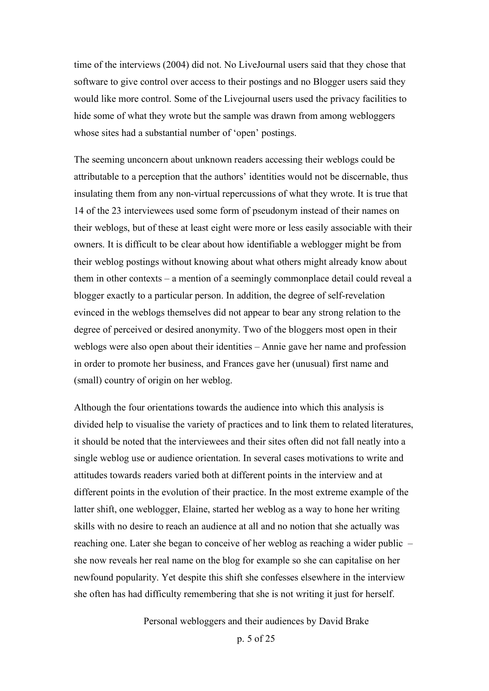time of the interviews (2004) did not. No LiveJournal users said that they chose that software to give control over access to their postings and no Blogger users said they would like more control. Some of the Livejournal users used the privacy facilities to hide some of what they wrote but the sample was drawn from among webloggers whose sites had a substantial number of 'open' postings.

The seeming unconcern about unknown readers accessing their weblogs could be attributable to a perception that the authors' identities would not be discernable, thus insulating them from any non-virtual repercussions of what they wrote. It is true that 14 of the 23 interviewees used some form of pseudonym instead of their names on their weblogs, but of these at least eight were more or less easily associable with their owners. It is difficult to be clear about how identifiable a weblogger might be from their weblog postings without knowing about what others might already know about them in other contexts – a mention of a seemingly commonplace detail could reveal a blogger exactly to a particular person. In addition, the degree of self-revelation evinced in the weblogs themselves did not appear to bear any strong relation to the degree of perceived or desired anonymity. Two of the bloggers most open in their weblogs were also open about their identities – Annie gave her name and profession in order to promote her business, and Frances gave her (unusual) first name and (small) country of origin on her weblog.

Although the four orientations towards the audience into which this analysis is divided help to visualise the variety of practices and to link them to related literatures, it should be noted that the interviewees and their sites often did not fall neatly into a single weblog use or audience orientation. In several cases motivations to write and attitudes towards readers varied both at different points in the interview and at different points in the evolution of their practice. In the most extreme example of the latter shift, one weblogger, Elaine, started her weblog as a way to hone her writing skills with no desire to reach an audience at all and no notion that she actually was reaching one. Later she began to conceive of her weblog as reaching a wider public – she now reveals her real name on the blog for example so she can capitalise on her newfound popularity. Yet despite this shift she confesses elsewhere in the interview she often has had difficulty remembering that she is not writing it just for herself.

Personal webloggers and their audiences by David Brake

p. 5 of 25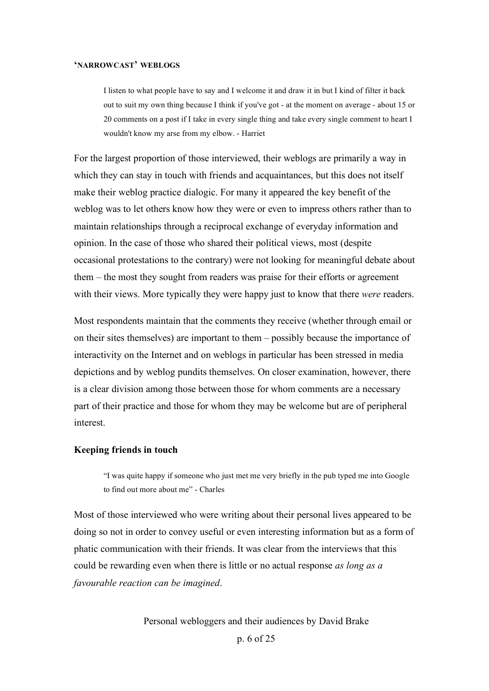### **'NARROWCAST' WEBLOGS**

I listen to what people have to say and I welcome it and draw it in but I kind of filter it back out to suit my own thing because I think if you've got - at the moment on average - about 15 or 20 comments on a post if I take in every single thing and take every single comment to heart I wouldn't know my arse from my elbow. - Harriet

For the largest proportion of those interviewed, their weblogs are primarily a way in which they can stay in touch with friends and acquaintances, but this does not itself make their weblog practice dialogic. For many it appeared the key benefit of the weblog was to let others know how they were or even to impress others rather than to maintain relationships through a reciprocal exchange of everyday information and opinion. In the case of those who shared their political views, most (despite occasional protestations to the contrary) were not looking for meaningful debate about them – the most they sought from readers was praise for their efforts or agreement with their views. More typically they were happy just to know that there *were* readers.

Most respondents maintain that the comments they receive (whether through email or on their sites themselves) are important to them – possibly because the importance of interactivity on the Internet and on weblogs in particular has been stressed in media depictions and by weblog pundits themselves. On closer examination, however, there is a clear division among those between those for whom comments are a necessary part of their practice and those for whom they may be welcome but are of peripheral interest.

#### **Keeping friends in touch**

"I was quite happy if someone who just met me very briefly in the pub typed me into Google to find out more about me" - Charles

Most of those interviewed who were writing about their personal lives appeared to be doing so not in order to convey useful or even interesting information but as a form of phatic communication with their friends. It was clear from the interviews that this could be rewarding even when there is little or no actual response *as long as a favourable reaction can be imagined*.

Personal webloggers and their audiences by David Brake

p. 6 of 25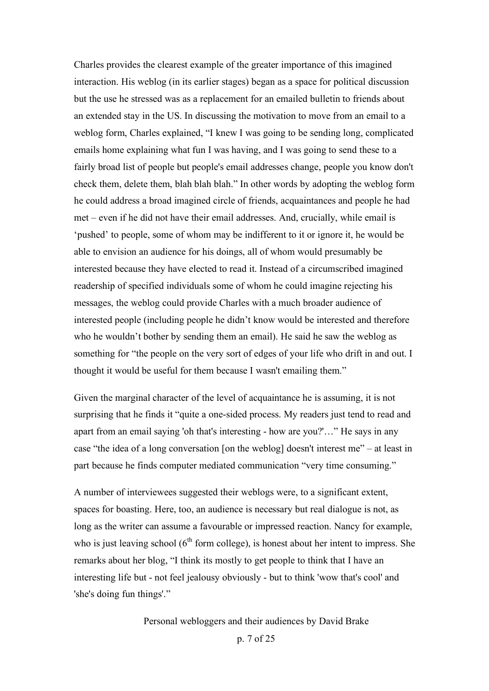Charles provides the clearest example of the greater importance of this imagined interaction. His weblog (in its earlier stages) began as a space for political discussion but the use he stressed was as a replacement for an emailed bulletin to friends about an extended stay in the US. In discussing the motivation to move from an email to a weblog form, Charles explained, "I knew I was going to be sending long, complicated emails home explaining what fun I was having, and I was going to send these to a fairly broad list of people but people's email addresses change, people you know don't check them, delete them, blah blah blah." In other words by adopting the weblog form he could address a broad imagined circle of friends, acquaintances and people he had met – even if he did not have their email addresses. And, crucially, while email is 'pushed' to people, some of whom may be indifferent to it or ignore it, he would be able to envision an audience for his doings, all of whom would presumably be interested because they have elected to read it. Instead of a circumscribed imagined readership of specified individuals some of whom he could imagine rejecting his messages, the weblog could provide Charles with a much broader audience of interested people (including people he didn't know would be interested and therefore who he wouldn't bother by sending them an email). He said he saw the weblog as something for "the people on the very sort of edges of your life who drift in and out. I thought it would be useful for them because I wasn't emailing them."

Given the marginal character of the level of acquaintance he is assuming, it is not surprising that he finds it "quite a one-sided process. My readers just tend to read and apart from an email saying 'oh that's interesting - how are you?'…" He says in any case "the idea of a long conversation [on the weblog] doesn't interest me" – at least in part because he finds computer mediated communication "very time consuming."

A number of interviewees suggested their weblogs were, to a significant extent, spaces for boasting. Here, too, an audience is necessary but real dialogue is not, as long as the writer can assume a favourable or impressed reaction. Nancy for example, who is just leaving school  $(6<sup>th</sup>$  form college), is honest about her intent to impress. She remarks about her blog, "I think its mostly to get people to think that I have an interesting life but - not feel jealousy obviously - but to think 'wow that's cool' and 'she's doing fun things'."

Personal webloggers and their audiences by David Brake

p. 7 of 25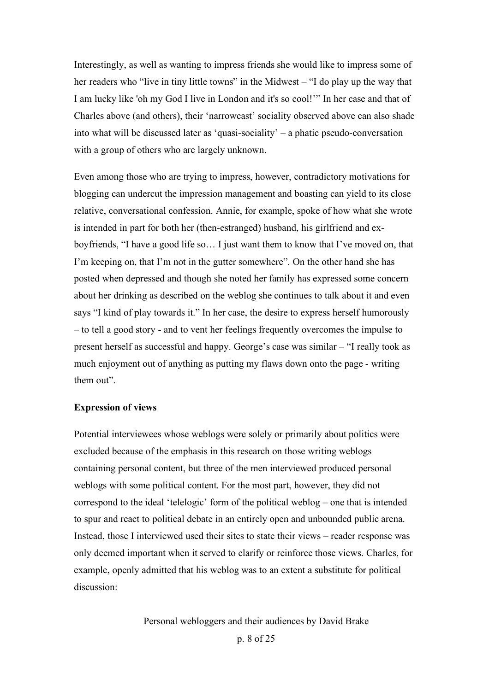Interestingly, as well as wanting to impress friends she would like to impress some of her readers who "live in tiny little towns" in the Midwest – "I do play up the way that I am lucky like 'oh my God I live in London and it's so cool!'" In her case and that of Charles above (and others), their 'narrowcast' sociality observed above can also shade into what will be discussed later as 'quasi-sociality' – a phatic pseudo-conversation with a group of others who are largely unknown.

Even among those who are trying to impress, however, contradictory motivations for blogging can undercut the impression management and boasting can yield to its close relative, conversational confession. Annie, for example, spoke of how what she wrote is intended in part for both her (then-estranged) husband, his girlfriend and exboyfriends, "I have a good life so… I just want them to know that I've moved on, that I'm keeping on, that I'm not in the gutter somewhere". On the other hand she has posted when depressed and though she noted her family has expressed some concern about her drinking as described on the weblog she continues to talk about it and even says "I kind of play towards it." In her case, the desire to express herself humorously – to tell a good story - and to vent her feelings frequently overcomes the impulse to present herself as successful and happy. George's case was similar – "I really took as much enjoyment out of anything as putting my flaws down onto the page - writing them out".

#### **Expression of views**

Potential interviewees whose weblogs were solely or primarily about politics were excluded because of the emphasis in this research on those writing weblogs containing personal content, but three of the men interviewed produced personal weblogs with some political content. For the most part, however, they did not correspond to the ideal 'telelogic' form of the political weblog – one that is intended to spur and react to political debate in an entirely open and unbounded public arena. Instead, those I interviewed used their sites to state their views – reader response was only deemed important when it served to clarify or reinforce those views. Charles, for example, openly admitted that his weblog was to an extent a substitute for political discussion: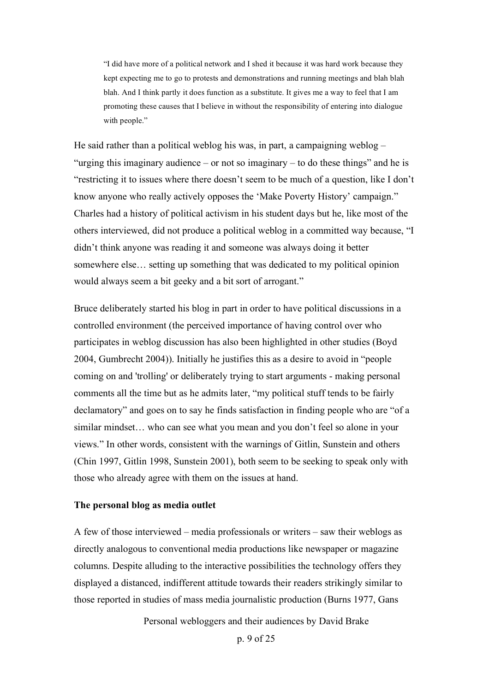"I did have more of a political network and I shed it because it was hard work because they kept expecting me to go to protests and demonstrations and running meetings and blah blah blah. And I think partly it does function as a substitute. It gives me a way to feel that I am promoting these causes that I believe in without the responsibility of entering into dialogue with people."

He said rather than a political weblog his was, in part, a campaigning weblog – "urging this imaginary audience – or not so imaginary – to do these things" and he is "restricting it to issues where there doesn't seem to be much of a question, like I don't know anyone who really actively opposes the 'Make Poverty History' campaign." Charles had a history of political activism in his student days but he, like most of the others interviewed, did not produce a political weblog in a committed way because, "I didn't think anyone was reading it and someone was always doing it better somewhere else… setting up something that was dedicated to my political opinion would always seem a bit geeky and a bit sort of arrogant."

Bruce deliberately started his blog in part in order to have political discussions in a controlled environment (the perceived importance of having control over who participates in weblog discussion has also been highlighted in other studies (Boyd 2004, Gumbrecht 2004)). Initially he justifies this as a desire to avoid in "people coming on and 'trolling' or deliberately trying to start arguments - making personal comments all the time but as he admits later, "my political stuff tends to be fairly declamatory" and goes on to say he finds satisfaction in finding people who are "of a similar mindset… who can see what you mean and you don't feel so alone in your views." In other words, consistent with the warnings of Gitlin, Sunstein and others (Chin 1997, Gitlin 1998, Sunstein 2001), both seem to be seeking to speak only with those who already agree with them on the issues at hand.

### **The personal blog as media outlet**

A few of those interviewed – media professionals or writers – saw their weblogs as directly analogous to conventional media productions like newspaper or magazine columns. Despite alluding to the interactive possibilities the technology offers they displayed a distanced, indifferent attitude towards their readers strikingly similar to those reported in studies of mass media journalistic production (Burns 1977, Gans

Personal webloggers and their audiences by David Brake

p. 9 of 25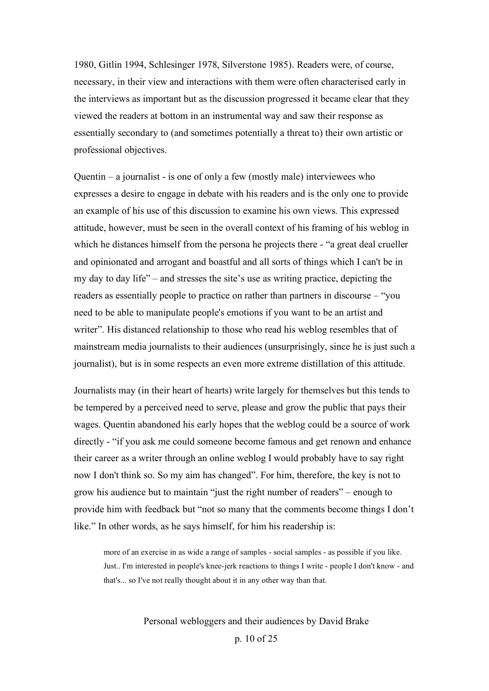1980, Gitlin 1994, Schlesinger 1978, Silverstone 1985). Readers were, of course, necessary, in their view and interactions with them were often characterised early in the interviews as important but as the discussion progressed it became clear that they viewed the readers at bottom in an instrumental way and saw their response as essentially secondary to (and sometimes potentially a threat to) their own artistic or professional objectives.

Quentin – a journalist - is one of only a few (mostly male) interviewees who expresses a desire to engage in debate with his readers and is the only one to provide an example of his use of this discussion to examine his own views. This expressed attitude, however, must be seen in the overall context of his framing of his weblog in which he distances himself from the persona he projects there - "a great deal crueller and opinionated and arrogant and boastful and all sorts of things which I can't be in my day to day life" – and stresses the site's use as writing practice, depicting the readers as essentially people to practice on rather than partners in discourse – "you need to be able to manipulate people's emotions if you want to be an artist and writer". His distanced relationship to those who read his weblog resembles that of mainstream media journalists to their audiences (unsurprisingly, since he is just such a journalist), but is in some respects an even more extreme distillation of this attitude.

Journalists may (in their heart of hearts) write largely for themselves but this tends to be tempered by a perceived need to serve, please and grow the public that pays their wages. Quentin abandoned his early hopes that the weblog could be a source of work directly - "if you ask me could someone become famous and get renown and enhance their career as a writer through an online weblog I would probably have to say right now I don't think so. So my aim has changed". For him, therefore, the key is not to grow his audience but to maintain "just the right number of readers" – enough to provide him with feedback but "not so many that the comments become things I don't like." In other words, as he says himself, for him his readership is:

more of an exercise in as wide a range of samples - social samples - as possible if you like. Just.. I'm interested in people's knee-jerk reactions to things I write - people I don't know - and that's... so I've not really thought about it in any other way than that.

Personal webloggers and their audiences by David Brake

p. 10 of 25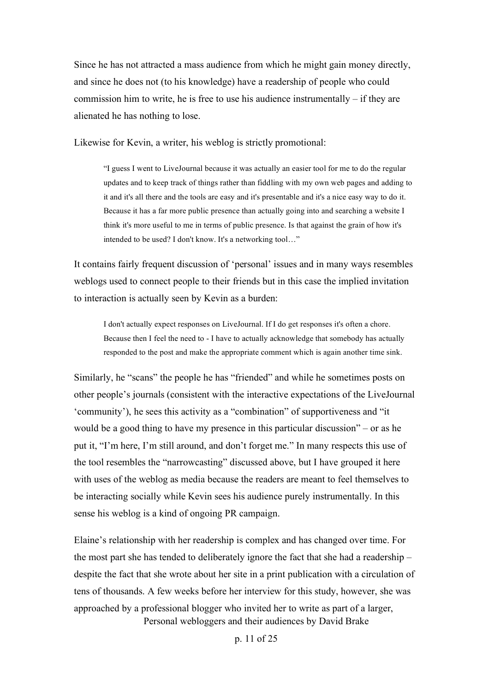Since he has not attracted a mass audience from which he might gain money directly, and since he does not (to his knowledge) have a readership of people who could commission him to write, he is free to use his audience instrumentally – if they are alienated he has nothing to lose.

Likewise for Kevin, a writer, his weblog is strictly promotional:

"I guess I went to LiveJournal because it was actually an easier tool for me to do the regular updates and to keep track of things rather than fiddling with my own web pages and adding to it and it's all there and the tools are easy and it's presentable and it's a nice easy way to do it. Because it has a far more public presence than actually going into and searching a website I think it's more useful to me in terms of public presence. Is that against the grain of how it's intended to be used? I don't know. It's a networking tool…"

It contains fairly frequent discussion of 'personal' issues and in many ways resembles weblogs used to connect people to their friends but in this case the implied invitation to interaction is actually seen by Kevin as a burden:

I don't actually expect responses on LiveJournal. If I do get responses it's often a chore. Because then I feel the need to - I have to actually acknowledge that somebody has actually responded to the post and make the appropriate comment which is again another time sink.

Similarly, he "scans" the people he has "friended" and while he sometimes posts on other people's journals (consistent with the interactive expectations of the LiveJournal 'community'), he sees this activity as a "combination" of supportiveness and "it would be a good thing to have my presence in this particular discussion" – or as he put it, "I'm here, I'm still around, and don't forget me." In many respects this use of the tool resembles the "narrowcasting" discussed above, but I have grouped it here with uses of the weblog as media because the readers are meant to feel themselves to be interacting socially while Kevin sees his audience purely instrumentally. In this sense his weblog is a kind of ongoing PR campaign.

Personal webloggers and their audiences by David Brake Elaine's relationship with her readership is complex and has changed over time. For the most part she has tended to deliberately ignore the fact that she had a readership – despite the fact that she wrote about her site in a print publication with a circulation of tens of thousands. A few weeks before her interview for this study, however, she was approached by a professional blogger who invited her to write as part of a larger,

p. 11 of 25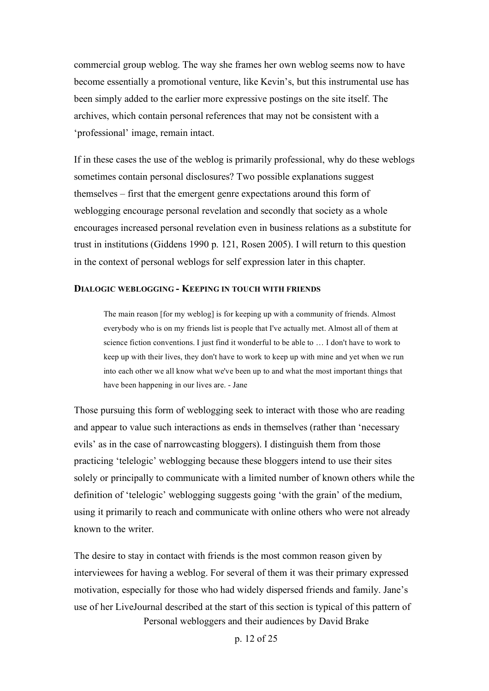commercial group weblog. The way she frames her own weblog seems now to have become essentially a promotional venture, like Kevin's, but this instrumental use has been simply added to the earlier more expressive postings on the site itself. The archives, which contain personal references that may not be consistent with a 'professional' image, remain intact.

If in these cases the use of the weblog is primarily professional, why do these weblogs sometimes contain personal disclosures? Two possible explanations suggest themselves – first that the emergent genre expectations around this form of weblogging encourage personal revelation and secondly that society as a whole encourages increased personal revelation even in business relations as a substitute for trust in institutions (Giddens 1990 p. 121, Rosen 2005). I will return to this question in the context of personal weblogs for self expression later in this chapter.

### **DIALOGIC WEBLOGGING - KEEPING IN TOUCH WITH FRIENDS**

The main reason [for my weblog] is for keeping up with a community of friends. Almost everybody who is on my friends list is people that I've actually met. Almost all of them at science fiction conventions. I just find it wonderful to be able to … I don't have to work to keep up with their lives, they don't have to work to keep up with mine and yet when we run into each other we all know what we've been up to and what the most important things that have been happening in our lives are. - Jane

Those pursuing this form of weblogging seek to interact with those who are reading and appear to value such interactions as ends in themselves (rather than 'necessary evils' as in the case of narrowcasting bloggers). I distinguish them from those practicing 'telelogic' weblogging because these bloggers intend to use their sites solely or principally to communicate with a limited number of known others while the definition of 'telelogic' weblogging suggests going 'with the grain' of the medium, using it primarily to reach and communicate with online others who were not already known to the writer.

Personal webloggers and their audiences by David Brake The desire to stay in contact with friends is the most common reason given by interviewees for having a weblog. For several of them it was their primary expressed motivation, especially for those who had widely dispersed friends and family. Jane's use of her LiveJournal described at the start of this section is typical of this pattern of

p. 12 of 25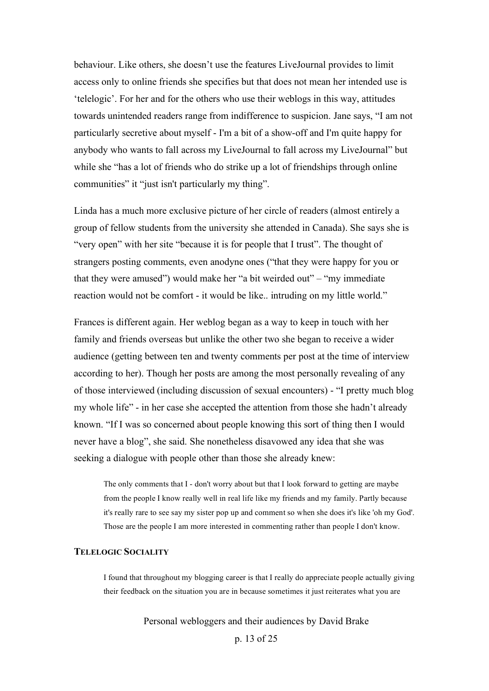behaviour. Like others, she doesn't use the features LiveJournal provides to limit access only to online friends she specifies but that does not mean her intended use is 'telelogic'. For her and for the others who use their weblogs in this way, attitudes towards unintended readers range from indifference to suspicion. Jane says, "I am not particularly secretive about myself - I'm a bit of a show-off and I'm quite happy for anybody who wants to fall across my LiveJournal to fall across my LiveJournal" but while she "has a lot of friends who do strike up a lot of friendships through online communities" it "just isn't particularly my thing".

Linda has a much more exclusive picture of her circle of readers (almost entirely a group of fellow students from the university she attended in Canada). She says she is "very open" with her site "because it is for people that I trust". The thought of strangers posting comments, even anodyne ones ("that they were happy for you or that they were amused") would make her "a bit weirded out" – "my immediate reaction would not be comfort - it would be like.. intruding on my little world."

Frances is different again. Her weblog began as a way to keep in touch with her family and friends overseas but unlike the other two she began to receive a wider audience (getting between ten and twenty comments per post at the time of interview according to her). Though her posts are among the most personally revealing of any of those interviewed (including discussion of sexual encounters) - "I pretty much blog my whole life" - in her case she accepted the attention from those she hadn't already known. "If I was so concerned about people knowing this sort of thing then I would never have a blog", she said. She nonetheless disavowed any idea that she was seeking a dialogue with people other than those she already knew:

The only comments that I - don't worry about but that I look forward to getting are maybe from the people I know really well in real life like my friends and my family. Partly because it's really rare to see say my sister pop up and comment so when she does it's like 'oh my God'. Those are the people I am more interested in commenting rather than people I don't know.

### **TELELOGIC SOCIALITY**

I found that throughout my blogging career is that I really do appreciate people actually giving their feedback on the situation you are in because sometimes it just reiterates what you are

Personal webloggers and their audiences by David Brake

p. 13 of 25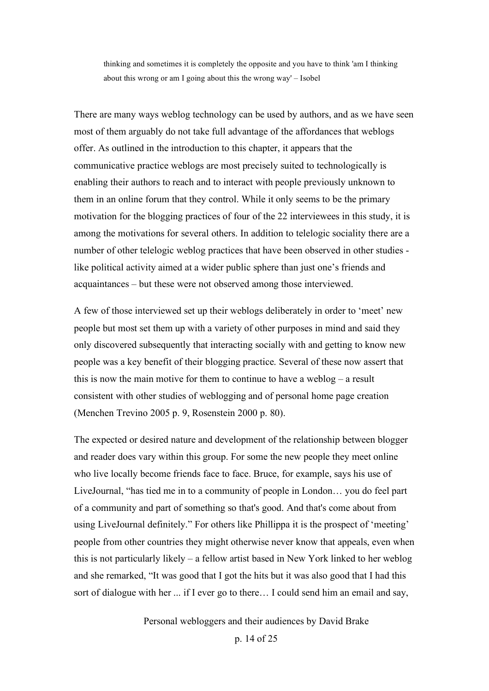thinking and sometimes it is completely the opposite and you have to think 'am I thinking about this wrong or am I going about this the wrong way' – Isobel

There are many ways weblog technology can be used by authors, and as we have seen most of them arguably do not take full advantage of the affordances that weblogs offer. As outlined in the introduction to this chapter, it appears that the communicative practice weblogs are most precisely suited to technologically is enabling their authors to reach and to interact with people previously unknown to them in an online forum that they control. While it only seems to be the primary motivation for the blogging practices of four of the 22 interviewees in this study, it is among the motivations for several others. In addition to telelogic sociality there are a number of other telelogic weblog practices that have been observed in other studies like political activity aimed at a wider public sphere than just one's friends and acquaintances – but these were not observed among those interviewed.

A few of those interviewed set up their weblogs deliberately in order to 'meet' new people but most set them up with a variety of other purposes in mind and said they only discovered subsequently that interacting socially with and getting to know new people was a key benefit of their blogging practice. Several of these now assert that this is now the main motive for them to continue to have a weblog – a result consistent with other studies of weblogging and of personal home page creation (Menchen Trevino 2005 p. 9, Rosenstein 2000 p. 80).

The expected or desired nature and development of the relationship between blogger and reader does vary within this group. For some the new people they meet online who live locally become friends face to face. Bruce, for example, says his use of LiveJournal, "has tied me in to a community of people in London… you do feel part of a community and part of something so that's good. And that's come about from using LiveJournal definitely." For others like Phillippa it is the prospect of 'meeting' people from other countries they might otherwise never know that appeals, even when this is not particularly likely – a fellow artist based in New York linked to her weblog and she remarked, "It was good that I got the hits but it was also good that I had this sort of dialogue with her ... if I ever go to there… I could send him an email and say,

Personal webloggers and their audiences by David Brake

p. 14 of 25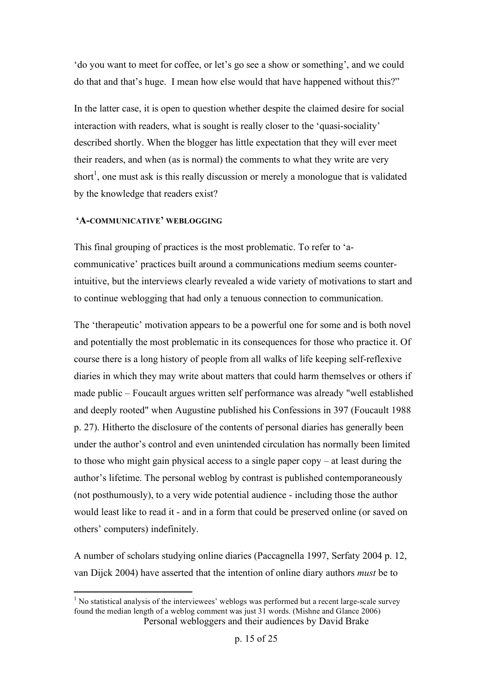'do you want to meet for coffee, or let's go see a show or something', and we could do that and that's huge. I mean how else would that have happened without this?"

In the latter case, it is open to question whether despite the claimed desire for social interaction with readers, what is sought is really closer to the 'quasi-sociality' described shortly. When the blogger has little expectation that they will ever meet their readers, and when (as is normal) the comments to what they write are very short<sup>1</sup>, one must ask is this really discussion or merely a monologue that is validated by the knowledge that readers exist?

### **'A-COMMUNICATIVE' WEBLOGGING**

This final grouping of practices is the most problematic. To refer to 'acommunicative' practices built around a communications medium seems counterintuitive, but the interviews clearly revealed a wide variety of motivations to start and to continue weblogging that had only a tenuous connection to communication.

The 'therapeutic' motivation appears to be a powerful one for some and is both novel and potentially the most problematic in its consequences for those who practice it. Of course there is a long history of people from all walks of life keeping self-reflexive diaries in which they may write about matters that could harm themselves or others if made public – Foucault argues written self performance was already "well established and deeply rooted" when Augustine published his Confessions in 397 (Foucault 1988 p. 27). Hitherto the disclosure of the contents of personal diaries has generally been under the author's control and even unintended circulation has normally been limited to those who might gain physical access to a single paper copy – at least during the author's lifetime. The personal weblog by contrast is published contemporaneously (not posthumously), to a very wide potential audience - including those the author would least like to read it - and in a form that could be preserved online (or saved on others' computers) indefinitely.

A number of scholars studying online diaries (Paccagnella 1997, Serfaty 2004 p. 12, van Dijck 2004) have asserted that the intention of online diary authors *must* be to

Personal webloggers and their audiences by David Brake  $<sup>1</sup>$  No statistical analysis of the interviewees' weblogs was performed but a recent large-scale survey</sup> found the median length of a weblog comment was just 31 words. (Mishne and Glance 2006)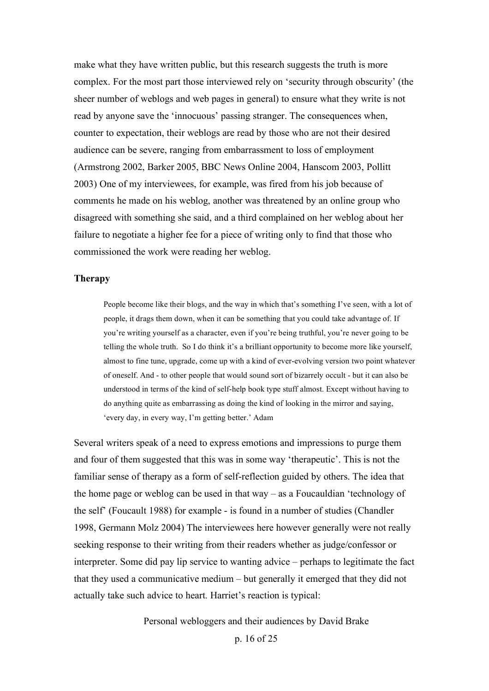make what they have written public, but this research suggests the truth is more complex. For the most part those interviewed rely on 'security through obscurity' (the sheer number of weblogs and web pages in general) to ensure what they write is not read by anyone save the 'innocuous' passing stranger. The consequences when, counter to expectation, their weblogs are read by those who are not their desired audience can be severe, ranging from embarrassment to loss of employment (Armstrong 2002, Barker 2005, BBC News Online 2004, Hanscom 2003, Pollitt 2003) One of my interviewees, for example, was fired from his job because of comments he made on his weblog, another was threatened by an online group who disagreed with something she said, and a third complained on her weblog about her failure to negotiate a higher fee for a piece of writing only to find that those who commissioned the work were reading her weblog.

#### **Therapy**

People become like their blogs, and the way in which that's something I've seen, with a lot of people, it drags them down, when it can be something that you could take advantage of. If you're writing yourself as a character, even if you're being truthful, you're never going to be telling the whole truth. So I do think it's a brilliant opportunity to become more like yourself, almost to fine tune, upgrade, come up with a kind of ever-evolving version two point whatever of oneself. And - to other people that would sound sort of bizarrely occult - but it can also be understood in terms of the kind of self-help book type stuff almost. Except without having to do anything quite as embarrassing as doing the kind of looking in the mirror and saying, 'every day, in every way, I'm getting better.' Adam

Several writers speak of a need to express emotions and impressions to purge them and four of them suggested that this was in some way 'therapeutic'. This is not the familiar sense of therapy as a form of self-reflection guided by others. The idea that the home page or weblog can be used in that way – as a Foucauldian 'technology of the self' (Foucault 1988) for example - is found in a number of studies (Chandler 1998, Germann Molz 2004) The interviewees here however generally were not really seeking response to their writing from their readers whether as judge/confessor or interpreter. Some did pay lip service to wanting advice – perhaps to legitimate the fact that they used a communicative medium – but generally it emerged that they did not actually take such advice to heart. Harriet's reaction is typical:

Personal webloggers and their audiences by David Brake

p. 16 of 25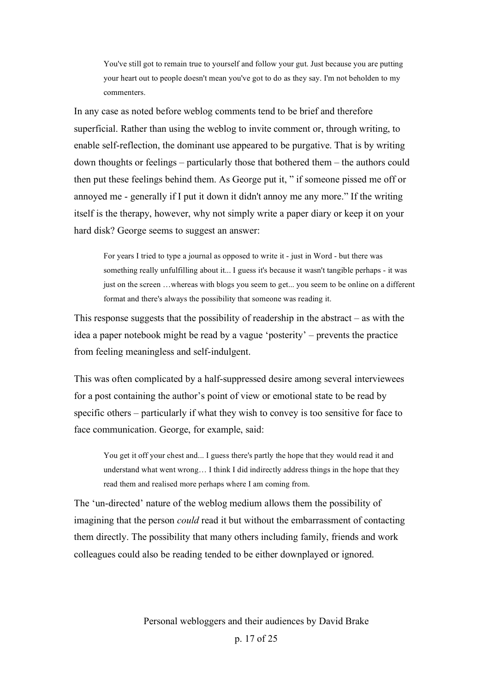You've still got to remain true to yourself and follow your gut. Just because you are putting your heart out to people doesn't mean you've got to do as they say. I'm not beholden to my commenters.

In any case as noted before weblog comments tend to be brief and therefore superficial. Rather than using the weblog to invite comment or, through writing, to enable self-reflection, the dominant use appeared to be purgative. That is by writing down thoughts or feelings – particularly those that bothered them – the authors could then put these feelings behind them. As George put it, " if someone pissed me off or annoyed me - generally if I put it down it didn't annoy me any more." If the writing itself is the therapy, however, why not simply write a paper diary or keep it on your hard disk? George seems to suggest an answer:

For years I tried to type a journal as opposed to write it - just in Word - but there was something really unfulfilling about it... I guess it's because it wasn't tangible perhaps - it was just on the screen …whereas with blogs you seem to get... you seem to be online on a different format and there's always the possibility that someone was reading it.

This response suggests that the possibility of readership in the abstract  $-$  as with the idea a paper notebook might be read by a vague 'posterity' – prevents the practice from feeling meaningless and self-indulgent.

This was often complicated by a half-suppressed desire among several interviewees for a post containing the author's point of view or emotional state to be read by specific others – particularly if what they wish to convey is too sensitive for face to face communication. George, for example, said:

You get it off your chest and... I guess there's partly the hope that they would read it and understand what went wrong… I think I did indirectly address things in the hope that they read them and realised more perhaps where I am coming from.

The 'un-directed' nature of the weblog medium allows them the possibility of imagining that the person *could* read it but without the embarrassment of contacting them directly. The possibility that many others including family, friends and work colleagues could also be reading tended to be either downplayed or ignored.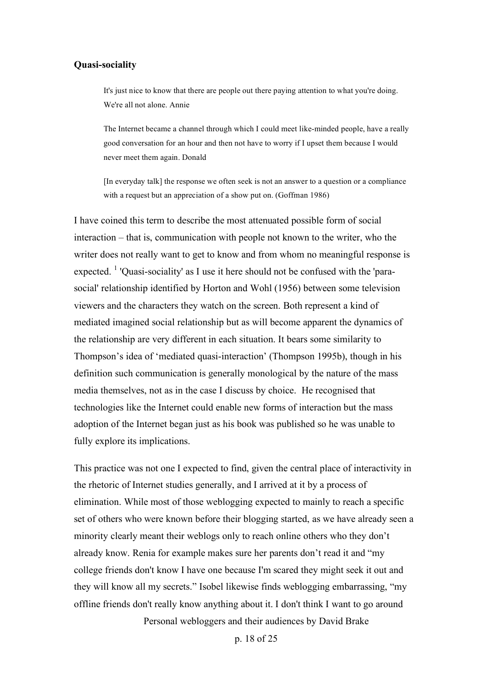### **Quasi-sociality**

It's just nice to know that there are people out there paying attention to what you're doing. We're all not alone. Annie

The Internet became a channel through which I could meet like-minded people, have a really good conversation for an hour and then not have to worry if I upset them because I would never meet them again. Donald

[In everyday talk] the response we often seek is not an answer to a question or a compliance with a request but an appreciation of a show put on. (Goffman 1986)

I have coined this term to describe the most attenuated possible form of social interaction – that is, communication with people not known to the writer, who the writer does not really want to get to know and from whom no meaningful response is expected. <sup>1</sup> 'Quasi-sociality' as I use it here should not be confused with the 'parasocial' relationship identified by Horton and Wohl (1956) between some television viewers and the characters they watch on the screen. Both represent a kind of mediated imagined social relationship but as will become apparent the dynamics of the relationship are very different in each situation. It bears some similarity to Thompson's idea of 'mediated quasi-interaction' (Thompson 1995b), though in his definition such communication is generally monological by the nature of the mass media themselves, not as in the case I discuss by choice. He recognised that technologies like the Internet could enable new forms of interaction but the mass adoption of the Internet began just as his book was published so he was unable to fully explore its implications.

This practice was not one I expected to find, given the central place of interactivity in the rhetoric of Internet studies generally, and I arrived at it by a process of elimination. While most of those weblogging expected to mainly to reach a specific set of others who were known before their blogging started, as we have already seen a minority clearly meant their weblogs only to reach online others who they don't already know. Renia for example makes sure her parents don't read it and "my college friends don't know I have one because I'm scared they might seek it out and they will know all my secrets." Isobel likewise finds weblogging embarrassing, "my offline friends don't really know anything about it. I don't think I want to go around

Personal webloggers and their audiences by David Brake

p. 18 of 25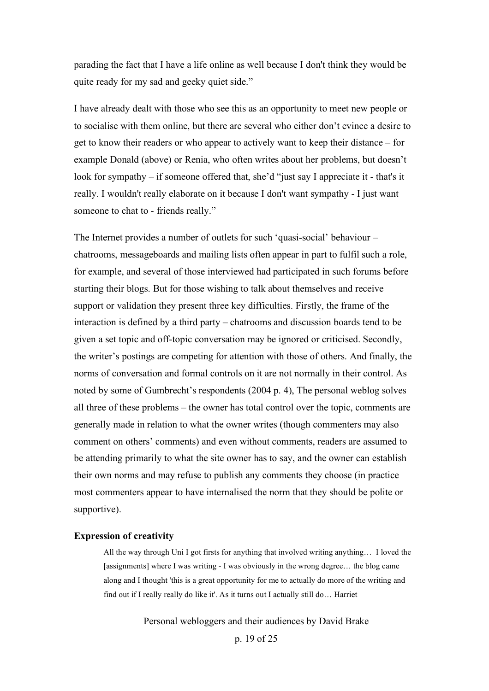parading the fact that I have a life online as well because I don't think they would be quite ready for my sad and geeky quiet side."

I have already dealt with those who see this as an opportunity to meet new people or to socialise with them online, but there are several who either don't evince a desire to get to know their readers or who appear to actively want to keep their distance – for example Donald (above) or Renia, who often writes about her problems, but doesn't look for sympathy – if someone offered that, she'd "just say I appreciate it - that's it really. I wouldn't really elaborate on it because I don't want sympathy - I just want someone to chat to - friends really."

The Internet provides a number of outlets for such 'quasi-social' behaviour – chatrooms, messageboards and mailing lists often appear in part to fulfil such a role, for example, and several of those interviewed had participated in such forums before starting their blogs. But for those wishing to talk about themselves and receive support or validation they present three key difficulties. Firstly, the frame of the interaction is defined by a third party – chatrooms and discussion boards tend to be given a set topic and off-topic conversation may be ignored or criticised. Secondly, the writer's postings are competing for attention with those of others. And finally, the norms of conversation and formal controls on it are not normally in their control. As noted by some of Gumbrecht's respondents (2004 p. 4), The personal weblog solves all three of these problems – the owner has total control over the topic, comments are generally made in relation to what the owner writes (though commenters may also comment on others' comments) and even without comments, readers are assumed to be attending primarily to what the site owner has to say, and the owner can establish their own norms and may refuse to publish any comments they choose (in practice most commenters appear to have internalised the norm that they should be polite or supportive).

### **Expression of creativity**

All the way through Uni I got firsts for anything that involved writing anything… I loved the [assignments] where I was writing - I was obviously in the wrong degree... the blog came along and I thought 'this is a great opportunity for me to actually do more of the writing and find out if I really really do like it'. As it turns out I actually still do… Harriet

Personal webloggers and their audiences by David Brake

p. 19 of 25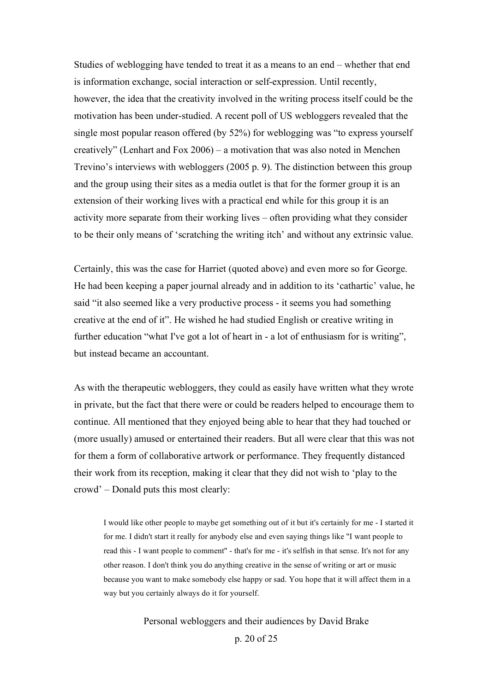Studies of weblogging have tended to treat it as a means to an end – whether that end is information exchange, social interaction or self-expression. Until recently, however, the idea that the creativity involved in the writing process itself could be the motivation has been under-studied. A recent poll of US webloggers revealed that the single most popular reason offered (by 52%) for weblogging was "to express yourself creatively" (Lenhart and Fox 2006) – a motivation that was also noted in Menchen Trevino's interviews with webloggers (2005 p. 9). The distinction between this group and the group using their sites as a media outlet is that for the former group it is an extension of their working lives with a practical end while for this group it is an activity more separate from their working lives – often providing what they consider to be their only means of 'scratching the writing itch' and without any extrinsic value.

Certainly, this was the case for Harriet (quoted above) and even more so for George. He had been keeping a paper journal already and in addition to its 'cathartic' value, he said "it also seemed like a very productive process - it seems you had something creative at the end of it". He wished he had studied English or creative writing in further education "what I've got a lot of heart in - a lot of enthusiasm for is writing", but instead became an accountant.

As with the therapeutic webloggers, they could as easily have written what they wrote in private, but the fact that there were or could be readers helped to encourage them to continue. All mentioned that they enjoyed being able to hear that they had touched or (more usually) amused or entertained their readers. But all were clear that this was not for them a form of collaborative artwork or performance. They frequently distanced their work from its reception, making it clear that they did not wish to 'play to the crowd' – Donald puts this most clearly:

I would like other people to maybe get something out of it but it's certainly for me - I started it for me. I didn't start it really for anybody else and even saying things like "I want people to read this - I want people to comment" - that's for me - it's selfish in that sense. It's not for any other reason. I don't think you do anything creative in the sense of writing or art or music because you want to make somebody else happy or sad. You hope that it will affect them in a way but you certainly always do it for yourself.

> Personal webloggers and their audiences by David Brake p. 20 of 25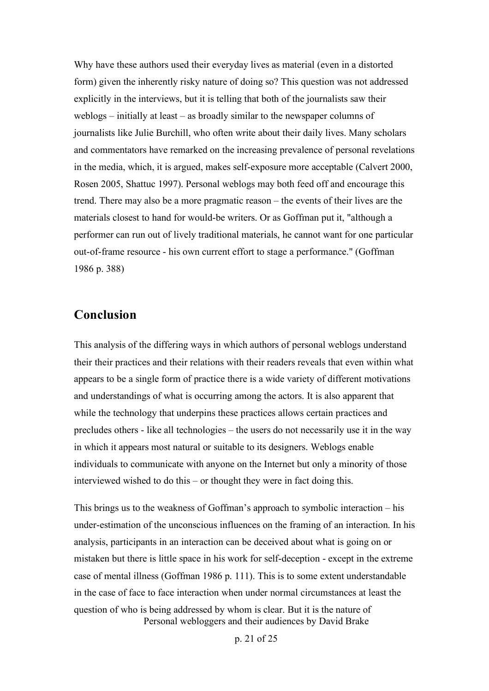Why have these authors used their everyday lives as material (even in a distorted form) given the inherently risky nature of doing so? This question was not addressed explicitly in the interviews, but it is telling that both of the journalists saw their weblogs – initially at least – as broadly similar to the newspaper columns of journalists like Julie Burchill, who often write about their daily lives. Many scholars and commentators have remarked on the increasing prevalence of personal revelations in the media, which, it is argued, makes self-exposure more acceptable (Calvert 2000, Rosen 2005, Shattuc 1997). Personal weblogs may both feed off and encourage this trend. There may also be a more pragmatic reason – the events of their lives are the materials closest to hand for would-be writers. Or as Goffman put it, "although a performer can run out of lively traditional materials, he cannot want for one particular out-of-frame resource - his own current effort to stage a performance." (Goffman 1986 p. 388)

### **Conclusion**

This analysis of the differing ways in which authors of personal weblogs understand their their practices and their relations with their readers reveals that even within what appears to be a single form of practice there is a wide variety of different motivations and understandings of what is occurring among the actors. It is also apparent that while the technology that underpins these practices allows certain practices and precludes others - like all technologies – the users do not necessarily use it in the way in which it appears most natural or suitable to its designers. Weblogs enable individuals to communicate with anyone on the Internet but only a minority of those interviewed wished to do this – or thought they were in fact doing this.

Personal webloggers and their audiences by David Brake This brings us to the weakness of Goffman's approach to symbolic interaction – his under-estimation of the unconscious influences on the framing of an interaction. In his analysis, participants in an interaction can be deceived about what is going on or mistaken but there is little space in his work for self-deception - except in the extreme case of mental illness (Goffman 1986 p. 111). This is to some extent understandable in the case of face to face interaction when under normal circumstances at least the question of who is being addressed by whom is clear. But it is the nature of

p. 21 of 25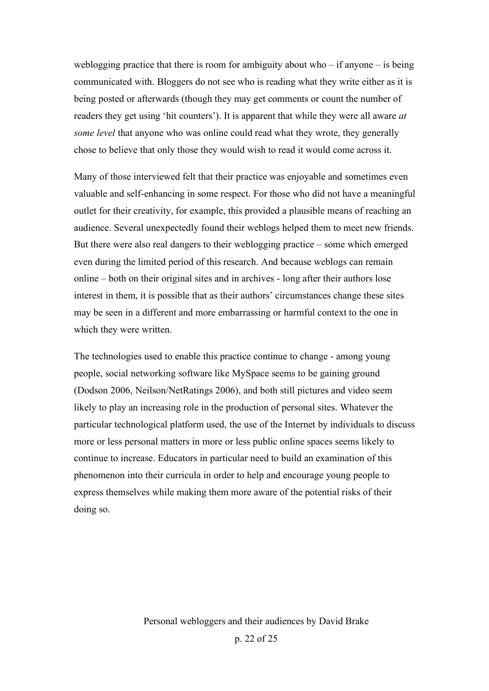weblogging practice that there is room for ambiguity about who – if anyone – is being communicated with. Bloggers do not see who is reading what they write either as it is being posted or afterwards (though they may get comments or count the number of readers they get using 'hit counters'). It is apparent that while they were all aware *at some level* that anyone who was online could read what they wrote, they generally chose to believe that only those they would wish to read it would come across it.

Many of those interviewed felt that their practice was enjoyable and sometimes even valuable and self-enhancing in some respect. For those who did not have a meaningful outlet for their creativity, for example, this provided a plausible means of reaching an audience. Several unexpectedly found their weblogs helped them to meet new friends. But there were also real dangers to their weblogging practice – some which emerged even during the limited period of this research. And because weblogs can remain online – both on their original sites and in archives - long after their authors lose interest in them, it is possible that as their authors' circumstances change these sites may be seen in a different and more embarrassing or harmful context to the one in which they were written.

The technologies used to enable this practice continue to change - among young people, social networking software like MySpace seems to be gaining ground (Dodson 2006, Neilson/NetRatings 2006), and both still pictures and video seem likely to play an increasing role in the production of personal sites. Whatever the particular technological platform used, the use of the Internet by individuals to discuss more or less personal matters in more or less public online spaces seems likely to continue to increase. Educators in particular need to build an examination of this phenomenon into their curricula in order to help and encourage young people to express themselves while making them more aware of the potential risks of their doing so.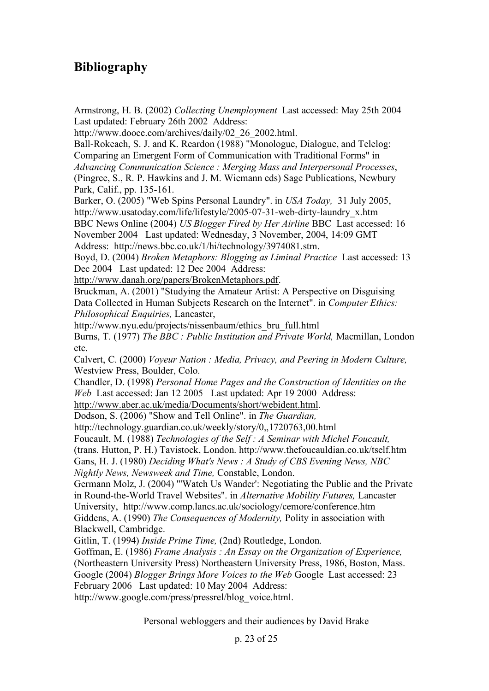## **Bibliography**

Armstrong, H. B. (2002) *Collecting Unemployment* Last accessed: May 25th 2004 Last updated: February 26th 2002 Address:

http://www.dooce.com/archives/daily/02\_26\_2002.html.

Ball-Rokeach, S. J. and K. Reardon (1988) "Monologue, Dialogue, and Telelog: Comparing an Emergent Form of Communication with Traditional Forms" in *Advancing Communication Science : Merging Mass and Interpersonal Processes*,

(Pingree, S., R. P. Hawkins and J. M. Wiemann eds) Sage Publications, Newbury Park, Calif., pp. 135-161.

Barker, O. (2005) "Web Spins Personal Laundry". in *USA Today,* 31 July 2005, http://www.usatoday.com/life/lifestyle/2005-07-31-web-dirty-laundry\_x.htm

BBC News Online (2004) *US Blogger Fired by Her Airline* BBC Last accessed: 16 November 2004 Last updated: Wednesday, 3 November, 2004, 14:09 GMT Address: http://news.bbc.co.uk/1/hi/technology/3974081.stm.

Boyd, D. (2004) *Broken Metaphors: Blogging as Liminal Practice* Last accessed: 13 Dec 2004 Last updated: 12 Dec 2004 Address:

http://www.danah.org/papers/BrokenMetaphors.pdf.

Bruckman, A. (2001) "Studying the Amateur Artist: A Perspective on Disguising Data Collected in Human Subjects Research on the Internet". in *Computer Ethics: Philosophical Enquiries,* Lancaster,

http://www.nyu.edu/projects/nissenbaum/ethics\_bru\_full.html

Burns, T. (1977) *The BBC : Public Institution and Private World,* Macmillan, London etc.

Calvert, C. (2000) *Voyeur Nation : Media, Privacy, and Peering in Modern Culture,* Westview Press, Boulder, Colo.

Chandler, D. (1998) *Personal Home Pages and the Construction of Identities on the Web* Last accessed: Jan 12 2005 Last updated: Apr 19 2000 Address:

http://www.aber.ac.uk/media/Documents/short/webident.html.

Dodson, S. (2006) "Show and Tell Online". in *The Guardian,*

http://technology.guardian.co.uk/weekly/story/0,,1720763,00.html

Foucault, M. (1988) *Technologies of the Self : A Seminar with Michel Foucault,*

(trans. Hutton, P. H.) Tavistock, London. http://www.thefoucauldian.co.uk/tself.htm

Gans, H. J. (1980) *Deciding What's News : A Study of CBS Evening News, NBC Nightly News, Newsweek and Time,* Constable, London.

Germann Molz, J. (2004) "'Watch Us Wander': Negotiating the Public and the Private in Round-the-World Travel Websites". in *Alternative Mobility Futures,* Lancaster University, http://www.comp.lancs.ac.uk/sociology/cemore/conference.htm Giddens, A. (1990) *The Consequences of Modernity,* Polity in association with Blackwell, Cambridge.

Gitlin, T. (1994) *Inside Prime Time,* (2nd) Routledge, London.

Goffman, E. (1986) *Frame Analysis : An Essay on the Organization of Experience,* (Northeastern University Press) Northeastern University Press, 1986, Boston, Mass. Google (2004) *Blogger Brings More Voices to the Web* Google Last accessed: 23 February 2006 Last updated: 10 May 2004 Address:

http://www.google.com/press/pressrel/blog\_voice.html.

Personal webloggers and their audiences by David Brake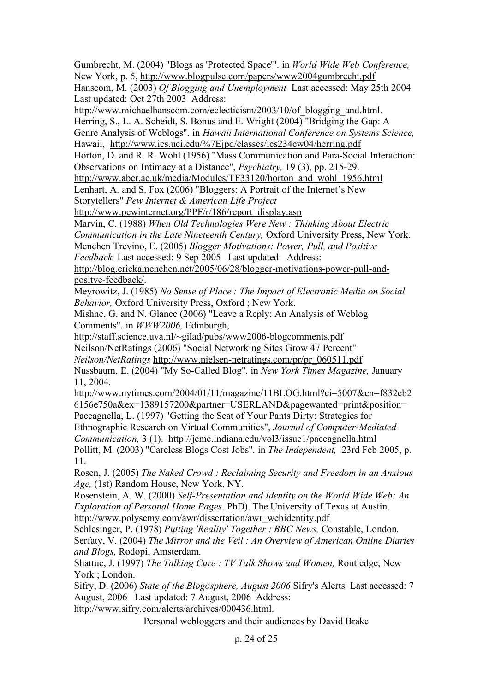Gumbrecht, M. (2004) "Blogs as 'Protected Space'". in *World Wide Web Conference,* New York, p. 5, http://www.blogpulse.com/papers/www2004gumbrecht.pdf

Hanscom, M. (2003) *Of Blogging and Unemployment* Last accessed: May 25th 2004 Last updated: Oct 27th 2003 Address:

http://www.michaelhanscom.com/eclecticism/2003/10/of blogging and.html.

Herring, S., L. A. Scheidt, S. Bonus and E. Wright (2004) "Bridging the Gap: A Genre Analysis of Weblogs". in *Hawaii International Conference on Systems Science,* Hawaii, http://www.ics.uci.edu/%7Ejpd/classes/ics234cw04/herring.pdf

Horton, D. and R. R. Wohl (1956) "Mass Communication and Para-Social Interaction: Observations on Intimacy at a Distance", *Psychiatry,* 19 (3), pp. 215-29.

http://www.aber.ac.uk/media/Modules/TF33120/horton\_and\_wohl\_1956.html

Lenhart, A. and S. Fox (2006) "Bloggers: A Portrait of the Internet's New Storytellers" *Pew Internet & American Life Project*

http://www.pewinternet.org/PPF/r/186/report\_display.asp

Marvin, C. (1988) *When Old Technologies Were New : Thinking About Electric Communication in the Late Nineteenth Century,* Oxford University Press, New York. Menchen Trevino, E. (2005) *Blogger Motivations: Power, Pull, and Positive*

*Feedback* Last accessed: 9 Sep 2005 Last updated: Address:

http://blog.erickamenchen.net/2005/06/28/blogger-motivations-power-pull-andpositve-feedback/.

Meyrowitz, J. (1985) *No Sense of Place : The Impact of Electronic Media on Social Behavior,* Oxford University Press, Oxford ; New York.

Mishne, G. and N. Glance (2006) "Leave a Reply: An Analysis of Weblog Comments". in *WWW2006,* Edinburgh,

http://staff.science.uva.nl/~gilad/pubs/www2006-blogcomments.pdf Neilson/NetRatings (2006) "Social Networking Sites Grow 47 Percent" *Neilson/NetRatings* http://www.nielsen-netratings.com/pr/pr\_060511.pdf

Nussbaum, E. (2004) "My So-Called Blog". in *New York Times Magazine,* January 11, 2004.

http://www.nytimes.com/2004/01/11/magazine/11BLOG.html?ei=5007&en=f832eb2 6156e750a&ex=1389157200&partner=USERLAND&pagewanted=print&position= Paccagnella, L. (1997) "Getting the Seat of Your Pants Dirty: Strategies for

Ethnographic Research on Virtual Communities", *Journal of Computer-Mediated Communication,* 3 (1). http://jcmc.indiana.edu/vol3/issue1/paccagnella.html

Pollitt, M. (2003) "Careless Blogs Cost Jobs". in *The Independent,* 23rd Feb 2005, p. 11.

Rosen, J. (2005) *The Naked Crowd : Reclaiming Security and Freedom in an Anxious Age,* (1st) Random House, New York, NY.

Rosenstein, A. W. (2000) *Self-Presentation and Identity on the World Wide Web: An Exploration of Personal Home Pages*. PhD). The University of Texas at Austin. http://www.polysemy.com/awr/dissertation/awr\_webidentity.pdf

Schlesinger, P. (1978) *Putting 'Reality' Together : BBC News,* Constable, London. Serfaty, V. (2004) *The Mirror and the Veil : An Overview of American Online Diaries and Blogs,* Rodopi, Amsterdam.

Shattuc, J. (1997) *The Talking Cure : TV Talk Shows and Women,* Routledge, New York ; London.

Sifry, D. (2006) *State of the Blogosphere, August 2006* Sifry's Alerts Last accessed: 7 August, 2006 Last updated: 7 August, 2006 Address:

http://www.sifry.com/alerts/archives/000436.html.

Personal webloggers and their audiences by David Brake